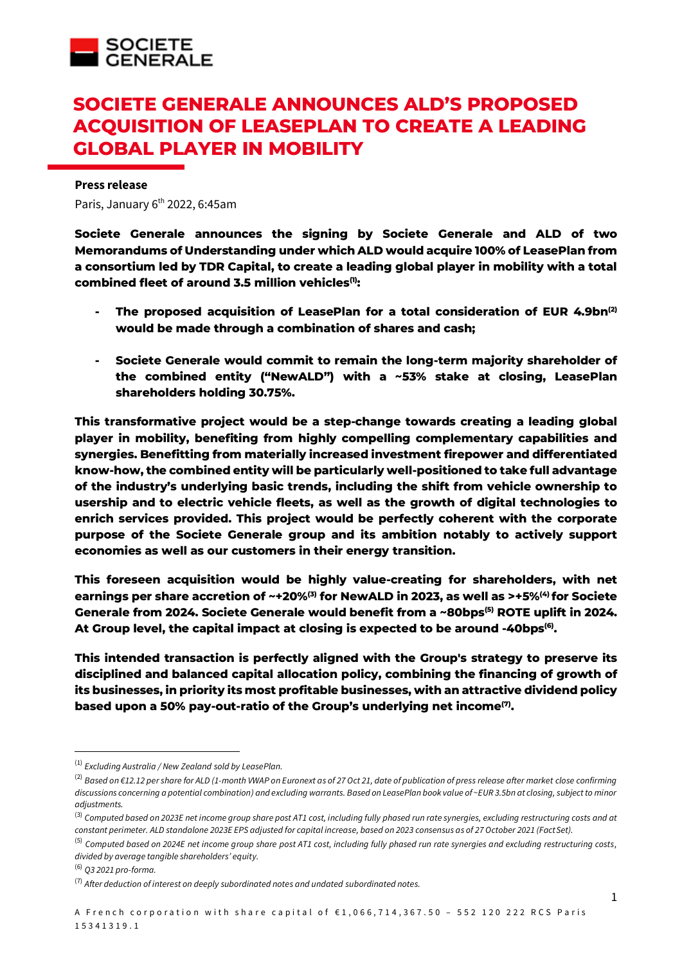

# **SOCIETE GENERALE ANNOUNCES ALD'S PROPOSED ACQUISITION OF LEASEPLAN TO CREATE A LEADING GLOBAL PLAYER IN MOBILITY**

#### **Press release**

Paris, January 6<sup>th</sup> 2022, 6:45am

**Societe Generale announces the signing by Societe Generale and ALD of two Memorandums of Understanding under which ALD would acquire 100% of LeasePlan from a consortium led by TDR Capital, to create a leading global player in mobility with a total combined fleet of around 3.5 million vehicles(1):**

- **- The proposed acquisition of LeasePlan for a total consideration of EUR 4.9bn(2) would be made through a combination of shares and cash;**
- **- Societe Generale would commit to remain the long-term majority shareholder of the combined entity ("NewALD") with a ~53% stake at closing, LeasePlan shareholders holding 30.75%.**

**This transformative project would be a step-change towards creating a leading global player in mobility, benefiting from highly compelling complementary capabilities and synergies. Benefitting from materially increased investment firepower and differentiated know-how, the combined entity will be particularly well-positioned to take full advantage of the industry's underlying basic trends, including the shift from vehicle ownership to usership and to electric vehicle fleets, as well as the growth of digital technologies to enrich services provided. This project would be perfectly coherent with the corporate purpose of the Societe Generale group and its ambition notably to actively support economies as well as our customers in their energy transition.**

**This foreseen acquisition would be highly value-creating for shareholders, with net earnings per share accretion of ~+20%(3) for NewALD in 2023, as well as >+5%(4) for Societe Generale from 2024. Societe Generale would benefit from a ~80bps(5) ROTE uplift in 2024. At Group level, the capital impact at closing is expected to be around -40bps (6) .**

**This intended transaction is perfectly aligned with the Group's strategy to preserve its disciplined and balanced capital allocation policy, combining the financing of growth of its businesses, in priority its most profitable businesses, with an attractive dividend policy based upon a 50% pay-out-ratio of the Group's underlying net income(7) .**

<sup>(1)</sup> *Excluding Australia / New Zealand sold by LeasePlan.*

<sup>(2)</sup> *Based on €12.12 per share for ALD (1-month VWAP on Euronext as of 27 Oct 21, date of publication of press release after market close confirming discussions concerning a potential combination) and excluding warrants. Based on LeasePlan book value of ~EUR 3.5bn at closing, subject to minor adjustments.*

<sup>(3)</sup> *Computed based on 2023E net income group share post AT1 cost, including fully phased run rate synergies, excluding restructuring costs and at constant perimeter. ALD standalone 2023E EPS adjusted for capital increase, based on 2023 consensus as of 27 October 2021 (FactSet).*

<sup>(5)</sup> *Computed based on 2024E net income group share post AT1 cost, including fully phased run rate synergies and excluding restructuring costs, divided by average tangible shareholders' equity.*

<sup>(6)</sup> *Q3 2021 pro-forma.*

<sup>(7)</sup> *After deduction of interest on deeply subordinated notes and undated subordinated notes.*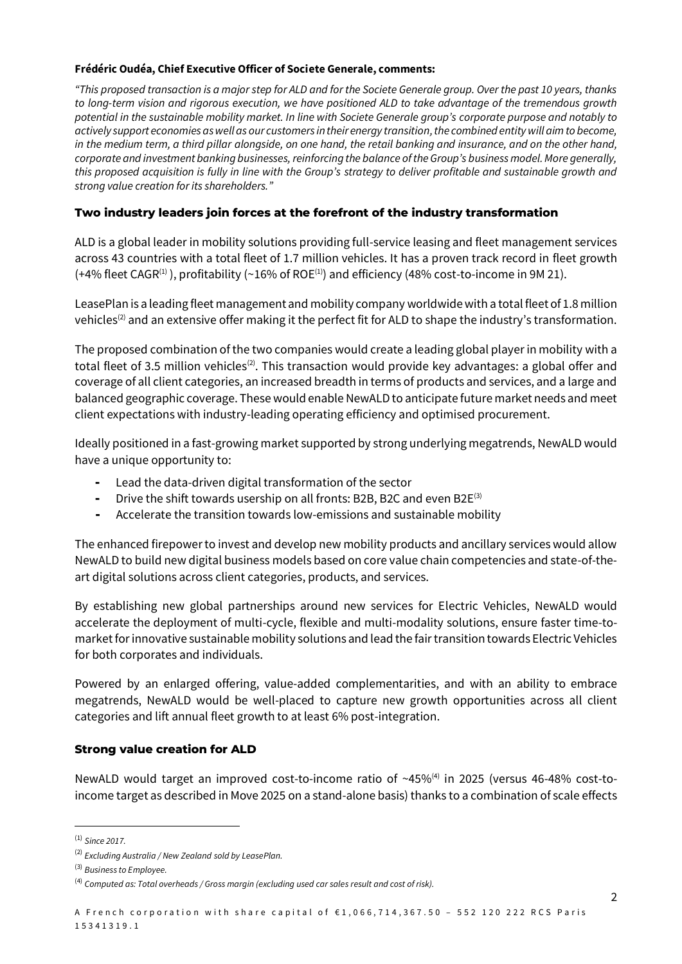### **Frédéric Oudéa, Chief Executive Officer of Societe Generale, comments:**

*"This proposed transaction is a major step for ALD and for the Societe Generale group. Over the past 10 years, thanks to long-term vision and rigorous execution, we have positioned ALD to take advantage of the tremendous growth potential in the sustainable mobility market. In line with Societe Generale group's corporate purpose and notably to actively support economies as well as our customers in their energy transition, the combined entity will aim to become, in the medium term, a third pillar alongside, on one hand, the retail banking and insurance, and on the other hand, corporate and investment banking businesses, reinforcing the balance of the Group's business model. More generally, this proposed acquisition is fully in line with the Group's strategy to deliver profitable and sustainable growth and strong value creation for its shareholders."*

# **Two industry leaders join forces at the forefront of the industry transformation**

ALD is a global leader in mobility solutions providing full-service leasing and fleet management services across 43 countries with a total fleet of 1.7 million vehicles. It has a proven track record in fleet growth  $(+4%$  fleet CAGR<sup>(1)</sup>), profitability (~16% of ROE<sup>(1)</sup>) and efficiency (48% cost-to-income in 9M 21).

LeasePlan is a leading fleet management and mobility company worldwide with a total fleet of 1.8 million vehicles<sup>(2)</sup> and an extensive offer making it the perfect fit for ALD to shape the industry's transformation.

The proposed combination of the two companies would create a leading global player in mobility with a total fleet of 3.5 million vehicles<sup>(2)</sup>. This transaction would provide key advantages: a global offer and coverage of all client categories, an increased breadth in terms of products and services, and a large and balanced geographic coverage. These would enable NewALD to anticipate future market needs and meet client expectations with industry-leading operating efficiency and optimised procurement.

Ideally positioned in a fast-growing market supported by strong underlying megatrends, NewALD would have a unique opportunity to:

- **-** Lead the data-driven digital transformation of the sector
- **-** Drive the shift towards usership on all fronts: B2B, B2C and even B2E(3)
- **-** Accelerate the transition towards low-emissions and sustainable mobility

The enhanced firepower to invest and develop new mobility products and ancillary services would allow NewALD to build new digital business models based on core value chain competencies and state-of-theart digital solutions across client categories, products, and services.

By establishing new global partnerships around new services for Electric Vehicles, NewALD would accelerate the deployment of multi-cycle, flexible and multi-modality solutions, ensure faster time-tomarket for innovative sustainable mobility solutions and lead the fair transition towards Electric Vehicles for both corporates and individuals.

Powered by an enlarged offering, value-added complementarities, and with an ability to embrace megatrends, NewALD would be well-placed to capture new growth opportunities across all client categories and lift annual fleet growth to at least 6% post-integration.

## **Strong value creation for ALD**

NewALD would target an improved cost-to-income ratio of ~45%<sup>(4)</sup> in 2025 (versus 46-48% cost-toincome target as described in Move 2025 on a stand-alone basis) thanks to a combination of scale effects

<sup>(1)</sup> *Since 2017.*

<sup>(2)</sup> *Excluding Australia / New Zealand sold by LeasePlan.*

<sup>(3)</sup> *Business to Employee.*

<sup>(4)</sup> *Computed as: Total overheads / Gross margin (excluding used car sales result and cost of risk).*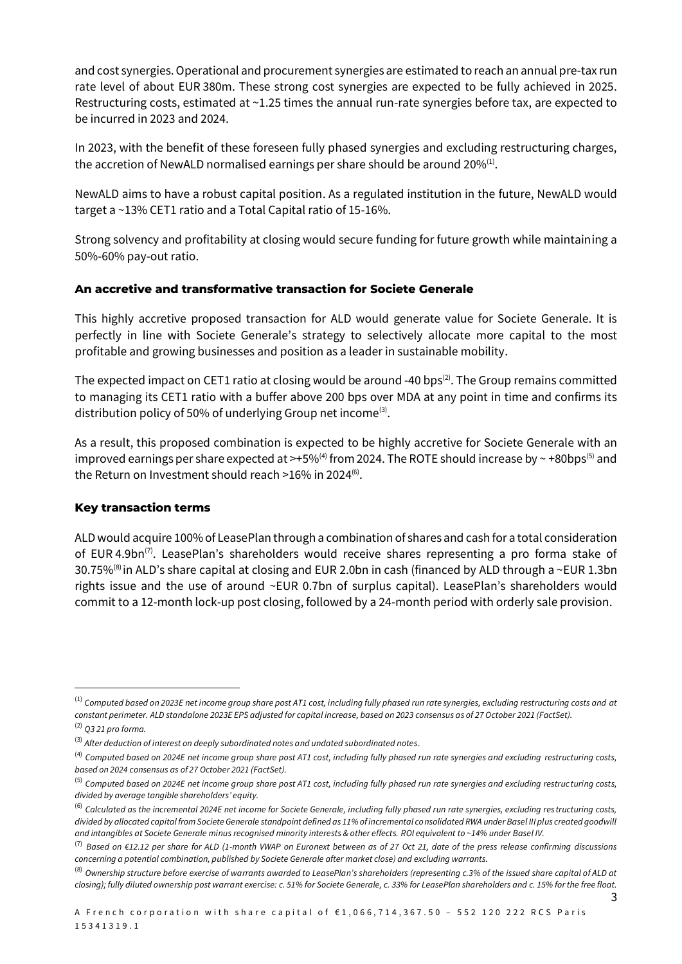and cost synergies. Operational and procurement synergies are estimated to reach an annual pre-tax run rate level of about EUR 380m. These strong cost synergies are expected to be fully achieved in 2025. Restructuring costs, estimated at ~1.25 times the annual run-rate synergies before tax, are expected to be incurred in 2023 and 2024.

In 2023, with the benefit of these foreseen fully phased synergies and excluding restructuring charges, the accretion of NewALD normalised earnings per share should be around 20% $^{(1)}$ .

NewALD aims to have a robust capital position. As a regulated institution in the future, NewALD would target a ~13% CET1 ratio and a Total Capital ratio of 15-16%.

Strong solvency and profitability at closing would secure funding for future growth while maintaining a 50%-60% pay-out ratio.

# **An accretive and transformative transaction for Societe Generale**

This highly accretive proposed transaction for ALD would generate value for Societe Generale. It is perfectly in line with Societe Generale's strategy to selectively allocate more capital to the most profitable and growing businesses and position as a leader in sustainable mobility.

The expected impact on CET1 ratio at closing would be around -40 bps<sup>(2)</sup>. The Group remains committed to managing its CET1 ratio with a buffer above 200 bps over MDA at any point in time and confirms its distribution policy of 50% of underlying Group net income<sup>(3)</sup>.

As a result, this proposed combination is expected to be highly accretive for Societe Generale with an improved earnings per share expected at >+5%<sup>(4)</sup> from 2024. The ROTE should increase by  $\sim$  +80bps<sup>(5)</sup> and the Return on Investment should reach >16% in 2024<sup>(6)</sup>.

# **Key transaction terms**

ALD would acquire 100% of LeasePlan through a combination of shares and cash for a total consideration of EUR 4.9bn<sup>(7)</sup>. LeasePlan's shareholders would receive shares representing a pro forma stake of 30.75%<sup>(8)</sup> in ALD's share capital at closing and EUR 2.0bn in cash (financed by ALD through a ~EUR 1.3bn rights issue and the use of around ~EUR 0.7bn of surplus capital). LeasePlan's shareholders would commit to a 12-month lock-up post closing, followed by a 24-month period with orderly sale provision.

<sup>(1)</sup> *Computed based on 2023E net income group share post AT1 cost, including fully phased run rate synergies, excluding restructuring costs and at constant perimeter. ALD standalone 2023E EPS adjusted for capital increase, based on 2023 consensus as of 27 October 2021 (FactSet).*

<sup>(2)</sup> *Q3 21 pro forma.*

<sup>(3)</sup> *After deduction of interest on deeply subordinated notes and undated subordinated notes.*

<sup>(4)</sup> *Computed based on 2024E net income group share post AT1 cost, including fully phased run rate synergies and excluding restructuring costs, based on 2024 consensus as of 27 October 2021 (FactSet).*

<sup>(5)</sup> *Computed based on 2024E net income group share post AT1 cost, including fully phased run rate synergies and excluding restruc turing costs, divided by average tangible shareholders' equity.*

<sup>&</sup>lt;sup>(6)</sup> Calculated as the incremental 2024E net income for Societe Generale, including fully phased run rate synergies, excluding restructuring costs, *divided by allocated capital from Societe Generale standpoint defined as 11% of incremental consolidated RWA under Basel III plus created goodwill and intangibles at Societe Generale minus recognised minority interests & other effects. ROI equivalent to ~14% under Basel IV.*

<sup>(7)</sup> *Based on €12.12 per share for ALD (1-month VWAP on Euronext between as of 27 Oct 21, date of the press release confirming discussions concerning a potential combination, published by Societe Generale after market close) and excluding warrants.*

<sup>(8)</sup> *Ownership structure before exercise of warrants awarded to LeasePlan's shareholders (representing c.3% of the issued share capital of ALD at closing); fully diluted ownership post warrant exercise: c. 51% for Societe Generale, c. 33% for LeasePlan shareholders and c. 15% for the free float.*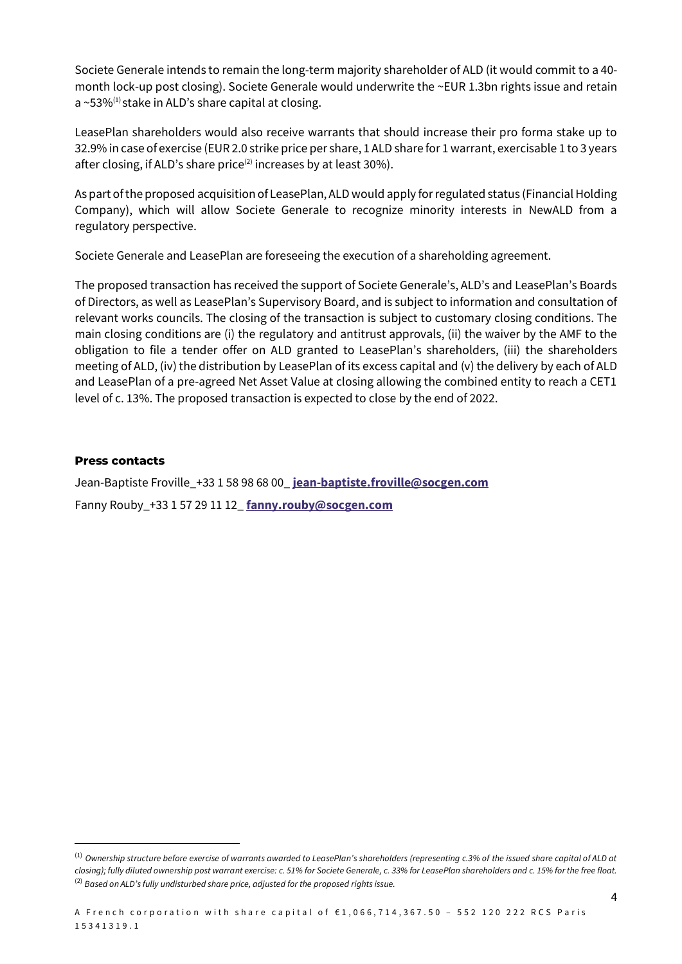Societe Generale intends to remain the long-term majority shareholder of ALD (it would commit to a 40 month lock-up post closing). Societe Generale would underwrite the ~EUR 1.3bn rights issue and retain a ~53% $^{(1)}$ stake in ALD's share capital at closing.

LeasePlan shareholders would also receive warrants that should increase their pro forma stake up to 32.9% in case of exercise (EUR 2.0 strike price per share, 1 ALD share for 1 warrant, exercisable 1 to 3 years after closing, if ALD's share price<sup>(2)</sup> increases by at least 30%).

As part of the proposed acquisition of LeasePlan, ALD would apply for regulated status (Financial Holding Company), which will allow Societe Generale to recognize minority interests in NewALD from a regulatory perspective.

Societe Generale and LeasePlan are foreseeing the execution of a shareholding agreement.

The proposed transaction has received the support of Societe Generale's, ALD's and LeasePlan's Boards of Directors, as well as LeasePlan's Supervisory Board, and is subject to information and consultation of relevant works councils. The closing of the transaction is subject to customary closing conditions. The main closing conditions are (i) the regulatory and antitrust approvals, (ii) the waiver by the AMF to the obligation to file a tender offer on ALD granted to LeasePlan's shareholders, (iii) the shareholders meeting of ALD, (iv) the distribution by LeasePlan of its excess capital and (v) the delivery by each of ALD and LeasePlan of a pre-agreed Net Asset Value at closing allowing the combined entity to reach a CET1 level of c. 13%. The proposed transaction is expected to close by the end of 2022.

#### **Press contacts**

Jean-Baptiste Froville\_+33 1 58 98 68 00\_ **[jean-baptiste.froville@socgen.com](mailto:jean-baptiste.froville@socgen.com)** Fanny Rouby\_+33 1 57 29 11 12\_ **[fanny.rouby@socgen.com](mailto:fanny.rouby@socgen.com)**

<sup>(1)</sup> *Ownership structure before exercise of warrants awarded to LeasePlan's shareholders (representing c.3% of the issued share capital of ALD at closing); fully diluted ownership post warrant exercise: c. 51% for Societe Generale, c. 33% for LeasePlan shareholders and c. 15% for the free float.* <sup>(2)</sup> Based on ALD's fully undisturbed share price, adjusted for the proposed rights issue.